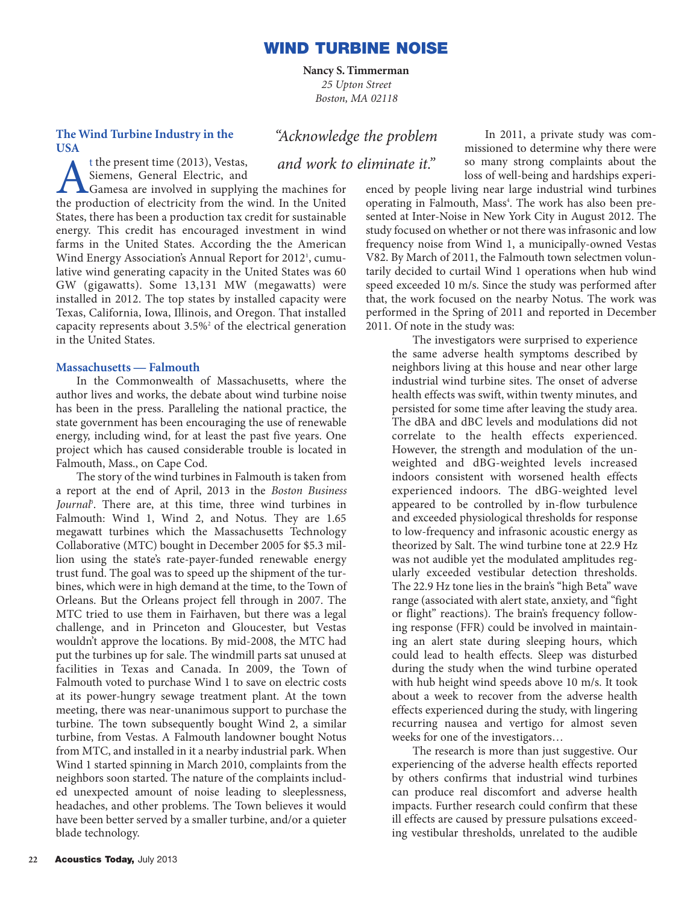**Nancy S. Timmerman** *25 Upton Street Boston, MA 02118*

# **The Wind Turbine Industry in the USA**

"Acknowledge the problem

In 2011, a private study was commissioned to determine why there were so many strong complaints about the loss of well-being and hardships experi-

and work to eliminate it."

t the present time (2013), Vestas,<br>Siemens, General Electric, and<br>Gamesa are involved in supplying<br>the production of electricity from the Siemens, General Electric, and Gamesa are involved in supplying the machines for the production of electricity from the wind. In the United States, there has been a production tax credit for sustainable energy. This credit has encouraged investment in wind farms in the United States. According the the American Wind Energy Association's Annual Report for 2012<sup>1</sup>, cumulative wind generating capacity in the United States was 60 GW (gigawatts). Some 13,131 MW (megawatts) were installed in 2012. The top states by installed capacity were Texas, California, Iowa, Illinois, and Oregon. That installed capacity represents about  $3.5\%$ <sup>2</sup> of the electrical generation in the United States.

## **Massachusetts — Falmouth**

In the Commonwealth of Massachusetts, where the author lives and works, the debate about wind turbine noise has been in the press. Paralleling the national practice, the state government has been encouraging the use of renewable energy, including wind, for at least the past five years. One project which has caused considerable trouble is located in Falmouth, Mass., on Cape Cod.

The story of the wind turbines in Falmouth is taken from a report at the end of April, 2013 in the *Boston Business* Journal<sup>p</sup>. There are, at this time, three wind turbines in Falmouth: Wind 1, Wind 2, and Notus. They are 1.65 megawatt turbines which the Massachusetts Technology Collaborative (MTC) bought in December 2005 for \$5.3 million using the state's rate-payer-funded renewable energy trust fund. The goal was to speed up the shipment of the turbines, which were in high demand at the time, to the Town of Orleans. But the Orleans project fell through in 2007. The MTC tried to use them in Fairhaven, but there was a legal challenge, and in Princeton and Gloucester, but Vestas wouldn't approve the locations. By mid-2008, the MTC had put the turbines up for sale. The windmill parts sat unused at facilities in Texas and Canada. In 2009, the Town of Falmouth voted to purchase Wind 1 to save on electric costs at its power-hungry sewage treatment plant. At the town meeting, there was near-unanimous support to purchase the turbine. The town subsequently bought Wind 2, a similar turbine, from Vestas. A Falmouth landowner bought Notus from MTC, and installed in it a nearby industrial park. When Wind 1 started spinning in March 2010, complaints from the neighbors soon started. The nature of the complaints included unexpected amount of noise leading to sleeplessness, headaches, and other problems. The Town believes it would have been better served by a smaller turbine, and/or a quieter blade technology.

enced by people living near large industrial wind turbines operating in Falmouth, Mass<sup>4</sup>. The work has also been presented at Inter-Noise in New York City in August 2012. The study focused on whether or not there was infrasonic and low frequency noise from Wind 1, a municipally-owned Vestas V82. By March of 2011, the Falmouth town selectmen voluntarily decided to curtail Wind 1 operations when hub wind speed exceeded 10 m/s. Since the study was performed after that, the work focused on the nearby Notus. The work was performed in the Spring of 2011 and reported in December 2011. Of note in the study was:

The investigators were surprised to experience the same adverse health symptoms described by neighbors living at this house and near other large industrial wind turbine sites. The onset of adverse health effects was swift, within twenty minutes, and persisted for some time after leaving the study area. The dBA and dBC levels and modulations did not correlate to the health effects experienced. However, the strength and modulation of the unweighted and dBG-weighted levels increased indoors consistent with worsened health effects experienced indoors. The dBG-weighted level appeared to be controlled by in-flow turbulence and exceeded physiological thresholds for response to low-frequency and infrasonic acoustic energy as theorized by Salt. The wind turbine tone at 22.9 Hz was not audible yet the modulated amplitudes regularly exceeded vestibular detection thresholds. The 22.9 Hz tone lies in the brain's "high Beta" wave range (associated with alert state, anxiety, and "fight or flight" reactions). The brain's frequency following response (FFR) could be involved in maintaining an alert state during sleeping hours, which could lead to health effects. Sleep was disturbed during the study when the wind turbine operated with hub height wind speeds above 10 m/s. It took about a week to recover from the adverse health effects experienced during the study, with lingering recurring nausea and vertigo for almost seven weeks for one of the investigators…

The research is more than just suggestive. Our experiencing of the adverse health effects reported by others confirms that industrial wind turbines can produce real discomfort and adverse health impacts. Further research could confirm that these ill effects are caused by pressure pulsations exceeding vestibular thresholds, unrelated to the audible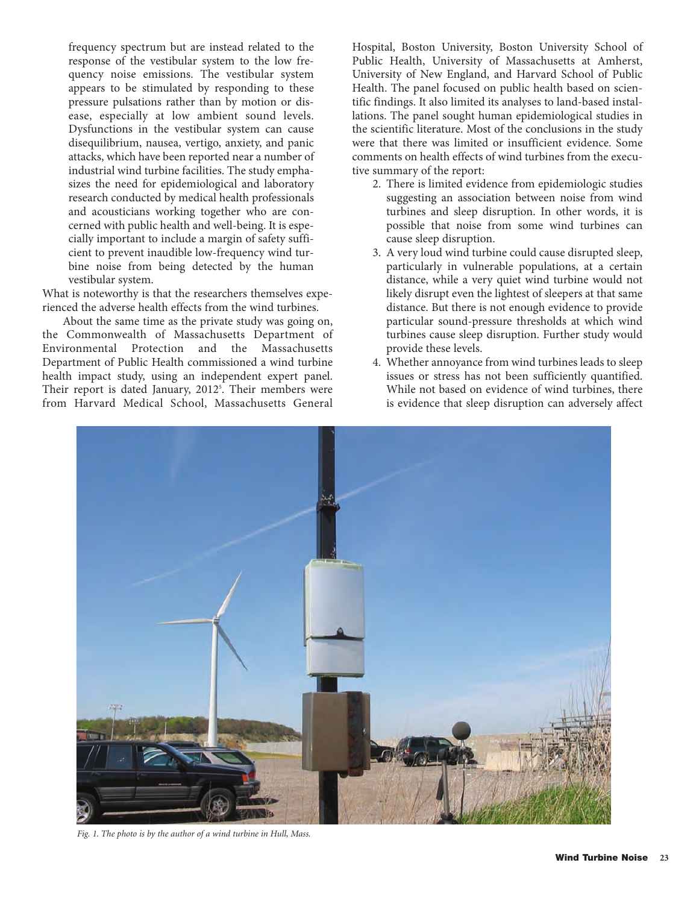frequency spectrum but are instead related to the response of the vestibular system to the low frequency noise emissions. The vestibular system appears to be stimulated by responding to these pressure pulsations rather than by motion or disease, especially at low ambient sound levels. Dysfunctions in the vestibular system can cause disequilibrium, nausea, vertigo, anxiety, and panic attacks, which have been reported near a number of industrial wind turbine facilities. The study emphasizes the need for epidemiological and laboratory research conducted by medical health professionals and acousticians working together who are concerned with public health and well-being. It is especially important to include a margin of safety sufficient to prevent inaudible low-frequency wind turbine noise from being detected by the human vestibular system.

What is noteworthy is that the researchers themselves experienced the adverse health effects from the wind turbines.

About the same time as the private study was going on, the Commonwealth of Massachusetts Department of Environmental Protection and the Massachusetts Department of Public Health commissioned a wind turbine health impact study, using an independent expert panel. Their report is dated January, 2012<sup>5</sup>. Their members were from Harvard Medical School, Massachusetts General Hospital, Boston University, Boston University School of Public Health, University of Massachusetts at Amherst, University of New England, and Harvard School of Public Health. The panel focused on public health based on scientific findings. It also limited its analyses to land-based installations. The panel sought human epidemiological studies in the scientific literature. Most of the conclusions in the study were that there was limited or insufficient evidence. Some comments on health effects of wind turbines from the executive summary of the report:

- 2. There is limited evidence from epidemiologic studies suggesting an association between noise from wind turbines and sleep disruption. In other words, it is possible that noise from some wind turbines can cause sleep disruption.
- 3. A very loud wind turbine could cause disrupted sleep, particularly in vulnerable populations, at a certain distance, while a very quiet wind turbine would not likely disrupt even the lightest of sleepers at that same distance. But there is not enough evidence to provide particular sound-pressure thresholds at which wind turbines cause sleep disruption. Further study would provide these levels.
- 4. Whether annoyance from wind turbines leads to sleep issues or stress has not been sufficiently quantified. While not based on evidence of wind turbines, there is evidence that sleep disruption can adversely affect



*Fig. 1. The photo is by the author of a wind turbine in Hull, Mass.*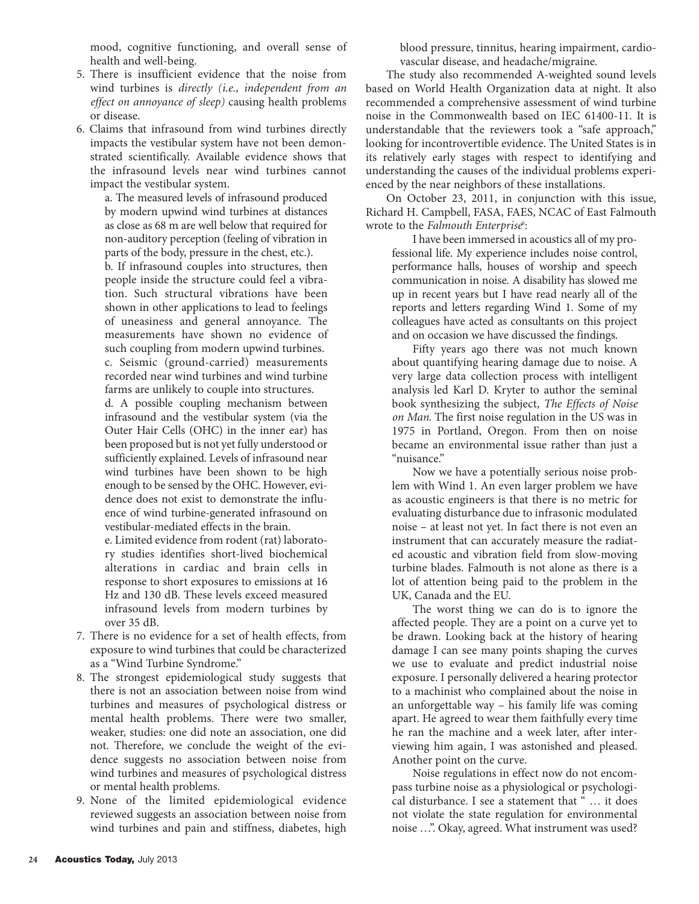mood, cognitive functioning, and overall sense of health and well-being.

- 5. There is insufficient evidence that the noise from wind turbines is *directly (i.e., independent from an effect on annoyance of sleep)* causing health problems or disease.
- 6. Claims that infrasound from wind turbines directly impacts the vestibular system have not been demonstrated scientifically. Available evidence shows that the infrasound levels near wind turbines cannot impact the vestibular system.

a. The measured levels of infrasound produced by modern upwind wind turbines at distances as close as 68 m are well below that required for non-auditory perception (feeling of vibration in parts of the body, pressure in the chest, etc.).

b. If infrasound couples into structures, then people inside the structure could feel a vibration. Such structural vibrations have been shown in other applications to lead to feelings of uneasiness and general annoyance. The measurements have shown no evidence of such coupling from modern upwind turbines. c. Seismic (ground-carried) measurements

recorded near wind turbines and wind turbine farms are unlikely to couple into structures.

d. A possible coupling mechanism between infrasound and the vestibular system (via the Outer Hair Cells (OHC) in the inner ear) has been proposed but is not yet fully understood or sufficiently explained. Levels of infrasound near wind turbines have been shown to be high enough to be sensed by the OHC. However, evidence does not exist to demonstrate the influence of wind turbine-generated infrasound on vestibular-mediated effects in the brain.

e. Limited evidence from rodent (rat) laboratory studies identifies short-lived biochemical alterations in cardiac and brain cells in response to short exposures to emissions at 16 Hz and 130 dB. These levels exceed measured infrasound levels from modern turbines by over 35 dB.

- 7. There is no evidence for a set of health effects, from exposure to wind turbines that could be characterized as a "Wind Turbine Syndrome."
- 8. The strongest epidemiological study suggests that there is not an association between noise from wind turbines and measures of psychological distress or mental health problems. There were two smaller, weaker, studies: one did note an association, one did not. Therefore, we conclude the weight of the evidence suggests no association between noise from wind turbines and measures of psychological distress or mental health problems.
- 9. None of the limited epidemiological evidence reviewed suggests an association between noise from wind turbines and pain and stiffness, diabetes, high

blood pressure, tinnitus, hearing impairment, cardiovascular disease, and headache/migraine.

The study also recommended A-weighted sound levels based on World Health Organization data at night. It also recommended a comprehensive assessment of wind turbine noise in the Commonwealth based on IEC 61400-11. It is understandable that the reviewers took a "safe approach," looking for incontrovertible evidence. The United States is in its relatively early stages with respect to identifying and understanding the causes of the individual problems experienced by the near neighbors of these installations.

On October 23, 2011, in conjunction with this issue, Richard H. Campbell, FASA, FAES, NCAC of East Falmouth wrote to the *Falmouth Enterprise*<sup>6</sup>:

I have been immersed in acoustics all of my professional life. My experience includes noise control, performance halls, houses of worship and speech communication in noise. A disability has slowed me up in recent years but I have read nearly all of the reports and letters regarding Wind 1. Some of my colleagues have acted as consultants on this project and on occasion we have discussed the findings.

Fifty years ago there was not much known about quantifying hearing damage due to noise. A very large data collection process with intelligent analysis led Karl D. Kryter to author the seminal book synthesizing the subject, *The Effects of Noise on Man*. The first noise regulation in the US was in 1975 in Portland, Oregon. From then on noise became an environmental issue rather than just a "nuisance."

Now we have a potentially serious noise problem with Wind 1. An even larger problem we have as acoustic engineers is that there is no metric for evaluating disturbance due to infrasonic modulated noise – at least not yet. In fact there is not even an instrument that can accurately measure the radiated acoustic and vibration field from slow-moving turbine blades. Falmouth is not alone as there is a lot of attention being paid to the problem in the UK, Canada and the EU.

The worst thing we can do is to ignore the affected people. They are a point on a curve yet to be drawn. Looking back at the history of hearing damage I can see many points shaping the curves we use to evaluate and predict industrial noise exposure. I personally delivered a hearing protector to a machinist who complained about the noise in an unforgettable way – his family life was coming apart. He agreed to wear them faithfully every time he ran the machine and a week later, after interviewing him again, I was astonished and pleased. Another point on the curve.

Noise regulations in effect now do not encompass turbine noise as a physiological or psychological disturbance. I see a statement that " … it does not violate the state regulation for environmental noise …". Okay, agreed. What instrument was used?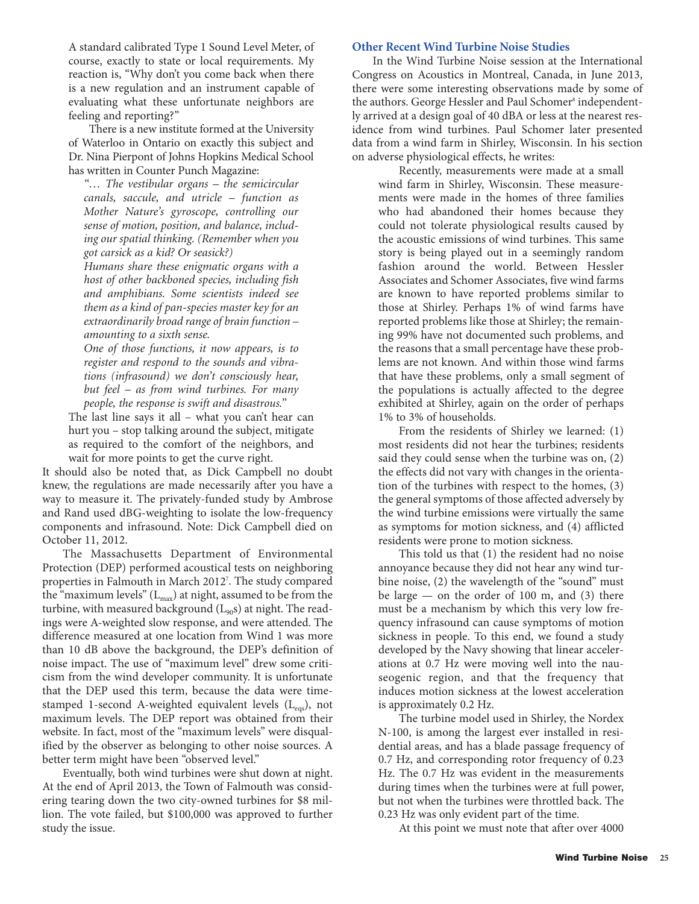A standard calibrated Type 1 Sound Level Meter, of course, exactly to state or local requirements. My reaction is, "Why don't you come back when there is a new regulation and an instrument capable of evaluating what these unfortunate neighbors are feeling and reporting?"

There is a new institute formed at the University of Waterloo in Ontario on exactly this subject and Dr. Nina Pierpont of Johns Hopkins Medical School has written in Counter Punch Magazine:

*"… The vestibular organs – the semicircular canals, saccule, and utricle – function as Mother Nature's gyroscope, controlling our sense of motion, position, and balance, including our spatial thinking. (Remember when you got carsick as a kid? Or seasick?)*

*Humans share these enigmatic organs with a host of other backboned species, including fish and amphibians. Some scientists indeed see them as a kind of pan-species master key for an extraordinarily broad range of brain function – amounting to a sixth sense.*

*One of those functions, it now appears, is to register and respond to the sounds and vibrations (infrasound) we don't consciously hear, but feel – as from wind turbines. For many people, the response is swift and disastrous."*

The last line says it all – what you can't hear can hurt you – stop talking around the subject, mitigate as required to the comfort of the neighbors, and wait for more points to get the curve right.

It should also be noted that, as Dick Campbell no doubt knew, the regulations are made necessarily after you have a way to measure it. The privately-funded study by Ambrose and Rand used dBG-weighting to isolate the low-frequency components and infrasound. Note: Dick Campbell died on October 11, 2012.

The Massachusetts Department of Environmental Protection (DEP) performed acoustical tests on neighboring properties in Falmouth in March 20127 . The study compared the "maximum levels"  $(L_{\text{max}})$  at night, assumed to be from the turbine, with measured background  $(L_{90}s)$  at night. The readings were A-weighted slow response, and were attended. The difference measured at one location from Wind 1 was more than 10 dB above the background, the DEP's definition of noise impact. The use of "maximum level" drew some criticism from the wind developer community. It is unfortunate that the DEP used this term, because the data were timestamped 1-second A-weighted equivalent levels  $(L_{\text{eqs}})$ , not maximum levels. The DEP report was obtained from their website. In fact, most of the "maximum levels" were disqualified by the observer as belonging to other noise sources. A better term might have been "observed level."

Eventually, both wind turbines were shut down at night. At the end of April 2013, the Town of Falmouth was considering tearing down the two city-owned turbines for \$8 million. The vote failed, but \$100,000 was approved to further study the issue.

### **Other Recent Wind Turbine Noise Studies**

In the Wind Turbine Noise session at the International Congress on Acoustics in Montreal, Canada, in June 2013, there were some interesting observations made by some of the authors. George Hessler and Paul Schomer<sup>8</sup> independently arrived at a design goal of 40 dBA or less at the nearest residence from wind turbines. Paul Schomer later presented data from a wind farm in Shirley, Wisconsin. In his section on adverse physiological effects, he writes:

Recently, measurements were made at a small wind farm in Shirley, Wisconsin. These measurements were made in the homes of three families who had abandoned their homes because they could not tolerate physiological results caused by the acoustic emissions of wind turbines. This same story is being played out in a seemingly random fashion around the world. Between Hessler Associates and Schomer Associates, five wind farms are known to have reported problems similar to those at Shirley. Perhaps 1% of wind farms have reported problems like those at Shirley; the remaining 99% have not documented such problems, and the reasons that a small percentage have these problems are not known. And within those wind farms that have these problems, only a small segment of the populations is actually affected to the degree exhibited at Shirley, again on the order of perhaps 1% to 3% of households.

From the residents of Shirley we learned: (1) most residents did not hear the turbines; residents said they could sense when the turbine was on, (2) the effects did not vary with changes in the orientation of the turbines with respect to the homes, (3) the general symptoms of those affected adversely by the wind turbine emissions were virtually the same as symptoms for motion sickness, and (4) afflicted residents were prone to motion sickness.

This told us that (1) the resident had no noise annoyance because they did not hear any wind turbine noise, (2) the wavelength of the "sound" must be large — on the order of 100 m, and (3) there must be a mechanism by which this very low frequency infrasound can cause symptoms of motion sickness in people. To this end, we found a study developed by the Navy showing that linear accelerations at 0.7 Hz were moving well into the nauseogenic region, and that the frequency that induces motion sickness at the lowest acceleration is approximately 0.2 Hz.

The turbine model used in Shirley, the Nordex N-100, is among the largest ever installed in residential areas, and has a blade passage frequency of 0.7 Hz, and corresponding rotor frequency of 0.23 Hz. The 0.7 Hz was evident in the measurements during times when the turbines were at full power, but not when the turbines were throttled back. The 0.23 Hz was only evident part of the time.

At this point we must note that after over 4000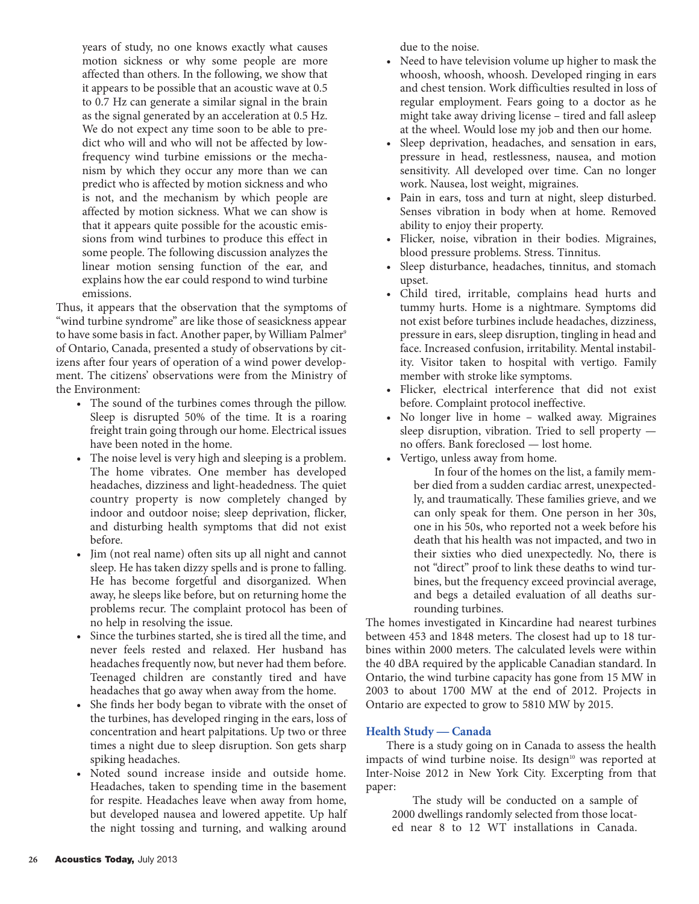years of study, no one knows exactly what causes motion sickness or why some people are more affected than others. In the following, we show that it appears to be possible that an acoustic wave at 0.5 to 0.7 Hz can generate a similar signal in the brain as the signal generated by an acceleration at 0.5 Hz. We do not expect any time soon to be able to predict who will and who will not be affected by lowfrequency wind turbine emissions or the mechanism by which they occur any more than we can predict who is affected by motion sickness and who is not, and the mechanism by which people are affected by motion sickness. What we can show is that it appears quite possible for the acoustic emissions from wind turbines to produce this effect in some people. The following discussion analyzes the linear motion sensing function of the ear, and explains how the ear could respond to wind turbine emissions.

Thus, it appears that the observation that the symptoms of "wind turbine syndrome" are like those of seasickness appear to have some basis in fact. Another paper, by William Palmer<sup>9</sup> of Ontario, Canada, presented a study of observations by citizens after four years of operation of a wind power development. The citizens' observations were from the Ministry of the Environment:

- The sound of the turbines comes through the pillow. Sleep is disrupted 50% of the time. It is a roaring freight train going through our home. Electrical issues have been noted in the home.
- The noise level is very high and sleeping is a problem. The home vibrates. One member has developed headaches, dizziness and light-headedness. The quiet country property is now completely changed by indoor and outdoor noise; sleep deprivation, flicker, and disturbing health symptoms that did not exist before.
- Jim (not real name) often sits up all night and cannot sleep. He has taken dizzy spells and is prone to falling. He has become forgetful and disorganized. When away, he sleeps like before, but on returning home the problems recur. The complaint protocol has been of no help in resolving the issue.
- Since the turbines started, she is tired all the time, and never feels rested and relaxed. Her husband has headaches frequently now, but never had them before. Teenaged children are constantly tired and have headaches that go away when away from the home.
- She finds her body began to vibrate with the onset of the turbines, has developed ringing in the ears, loss of concentration and heart palpitations. Up two or three times a night due to sleep disruption. Son gets sharp spiking headaches.
- Noted sound increase inside and outside home. Headaches, taken to spending time in the basement for respite. Headaches leave when away from home, but developed nausea and lowered appetite. Up half the night tossing and turning, and walking around

due to the noise.

- Need to have television volume up higher to mask the whoosh, whoosh, whoosh. Developed ringing in ears and chest tension. Work difficulties resulted in loss of regular employment. Fears going to a doctor as he might take away driving license – tired and fall asleep at the wheel. Would lose my job and then our home.
- Sleep deprivation, headaches, and sensation in ears, pressure in head, restlessness, nausea, and motion sensitivity. All developed over time. Can no longer work. Nausea, lost weight, migraines.
- Pain in ears, toss and turn at night, sleep disturbed. Senses vibration in body when at home. Removed ability to enjoy their property.
- Flicker, noise, vibration in their bodies. Migraines, blood pressure problems. Stress. Tinnitus.
- Sleep disturbance, headaches, tinnitus, and stomach upset.
- Child tired, irritable, complains head hurts and tummy hurts. Home is a nightmare. Symptoms did not exist before turbines include headaches, dizziness, pressure in ears, sleep disruption, tingling in head and face. Increased confusion, irritability. Mental instability. Visitor taken to hospital with vertigo. Family member with stroke like symptoms.
- Flicker, electrical interference that did not exist before. Complaint protocol ineffective.
- No longer live in home walked away. Migraines sleep disruption, vibration. Tried to sell property no offers. Bank foreclosed — lost home.
- Vertigo, unless away from home.

In four of the homes on the list, a family member died from a sudden cardiac arrest, unexpectedly, and traumatically. These families grieve, and we can only speak for them. One person in her 30s, one in his 50s, who reported not a week before his death that his health was not impacted, and two in their sixties who died unexpectedly. No, there is not "direct" proof to link these deaths to wind turbines, but the frequency exceed provincial average, and begs a detailed evaluation of all deaths surrounding turbines.

The homes investigated in Kincardine had nearest turbines between 453 and 1848 meters. The closest had up to 18 turbines within 2000 meters. The calculated levels were within the 40 dBA required by the applicable Canadian standard. In Ontario, the wind turbine capacity has gone from 15 MW in 2003 to about 1700 MW at the end of 2012. Projects in Ontario are expected to grow to 5810 MW by 2015.

# **Health Study — Canada**

There is a study going on in Canada to assess the health impacts of wind turbine noise. Its design<sup>10</sup> was reported at Inter-Noise 2012 in New York City. Excerpting from that paper:

The study will be conducted on a sample of 2000 dwellings randomly selected from those located near 8 to 12 WT installations in Canada.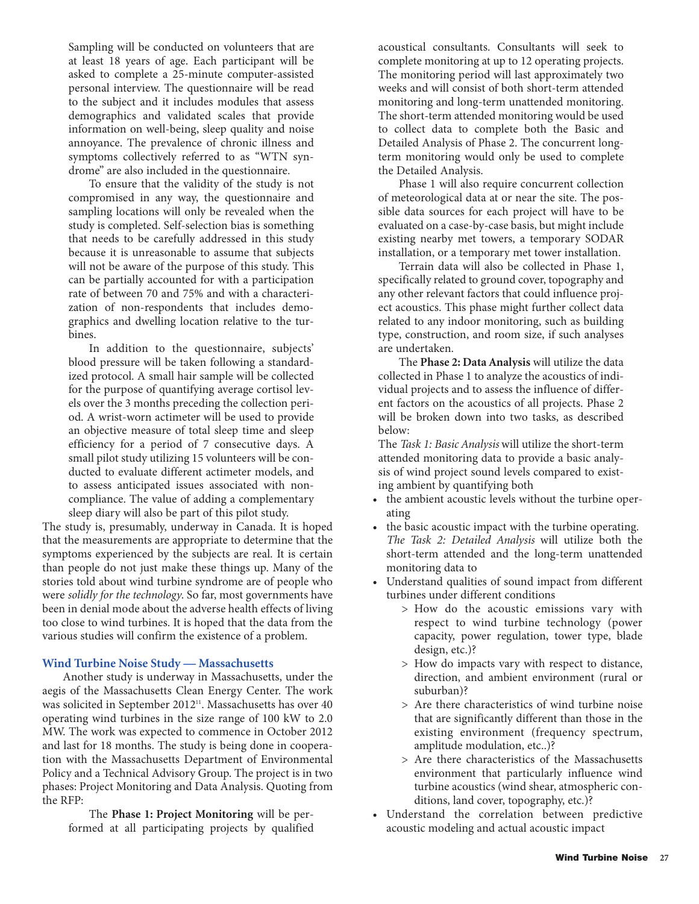Sampling will be conducted on volunteers that are at least 18 years of age. Each participant will be asked to complete a 25-minute computer-assisted personal interview. The questionnaire will be read to the subject and it includes modules that assess demographics and validated scales that provide information on well-being, sleep quality and noise annoyance. The prevalence of chronic illness and symptoms collectively referred to as "WTN syndrome" are also included in the questionnaire.

To ensure that the validity of the study is not compromised in any way, the questionnaire and sampling locations will only be revealed when the study is completed. Self-selection bias is something that needs to be carefully addressed in this study because it is unreasonable to assume that subjects will not be aware of the purpose of this study. This can be partially accounted for with a participation rate of between 70 and 75% and with a characterization of non-respondents that includes demographics and dwelling location relative to the turbines.

In addition to the questionnaire, subjects' blood pressure will be taken following a standardized protocol. A small hair sample will be collected for the purpose of quantifying average cortisol levels over the 3 months preceding the collection period. A wrist-worn actimeter will be used to provide an objective measure of total sleep time and sleep efficiency for a period of 7 consecutive days. A small pilot study utilizing 15 volunteers will be conducted to evaluate different actimeter models, and to assess anticipated issues associated with noncompliance. The value of adding a complementary sleep diary will also be part of this pilot study.

The study is, presumably, underway in Canada. It is hoped that the measurements are appropriate to determine that the symptoms experienced by the subjects are real. It is certain than people do not just make these things up. Many of the stories told about wind turbine syndrome are of people who were *solidly for the technology*. So far, most governments have been in denial mode about the adverse health effects of living too close to wind turbines. It is hoped that the data from the various studies will confirm the existence of a problem.

#### **Wind Turbine Noise Study — Massachusetts**

Another study is underway in Massachusetts, under the aegis of the Massachusetts Clean Energy Center. The work was solicited in September 2012<sup>11</sup>. Massachusetts has over 40 operating wind turbines in the size range of 100 kW to 2.0 MW. The work was expected to commence in October 2012 and last for 18 months. The study is being done in cooperation with the Massachusetts Department of Environmental Policy and a Technical Advisory Group. The project is in two phases: Project Monitoring and Data Analysis. Quoting from the RFP:

The **Phase 1: Project Monitoring** will be performed at all participating projects by qualified acoustical consultants. Consultants will seek to complete monitoring at up to 12 operating projects. The monitoring period will last approximately two weeks and will consist of both short-term attended monitoring and long-term unattended monitoring. The short-term attended monitoring would be used to collect data to complete both the Basic and Detailed Analysis of Phase 2. The concurrent longterm monitoring would only be used to complete the Detailed Analysis.

Phase 1 will also require concurrent collection of meteorological data at or near the site. The possible data sources for each project will have to be evaluated on a case-by-case basis, but might include existing nearby met towers, a temporary SODAR installation, or a temporary met tower installation.

Terrain data will also be collected in Phase 1, specifically related to ground cover, topography and any other relevant factors that could influence project acoustics. This phase might further collect data related to any indoor monitoring, such as building type, construction, and room size, if such analyses are undertaken.

The **Phase 2: Data Analysis** will utilize the data collected in Phase 1 to analyze the acoustics of individual projects and to assess the influence of different factors on the acoustics of all projects. Phase 2 will be broken down into two tasks, as described below:

The *Task 1: Basic Analysis* will utilize the short-term attended monitoring data to provide a basic analysis of wind project sound levels compared to existing ambient by quantifying both

- the ambient acoustic levels without the turbine operating
- the basic acoustic impact with the turbine operating. *The Task 2: Detailed Analysis* will utilize both the short-term attended and the long-term unattended monitoring data to
- Understand qualities of sound impact from different turbines under different conditions
	- > How do the acoustic emissions vary with respect to wind turbine technology (power capacity, power regulation, tower type, blade design, etc.)?
	- > How do impacts vary with respect to distance, direction, and ambient environment (rural or suburban)?
	- > Are there characteristics of wind turbine noise that are significantly different than those in the existing environment (frequency spectrum, amplitude modulation, etc..)?
	- > Are there characteristics of the Massachusetts environment that particularly influence wind turbine acoustics (wind shear, atmospheric conditions, land cover, topography, etc.)?
- Understand the correlation between predictive acoustic modeling and actual acoustic impact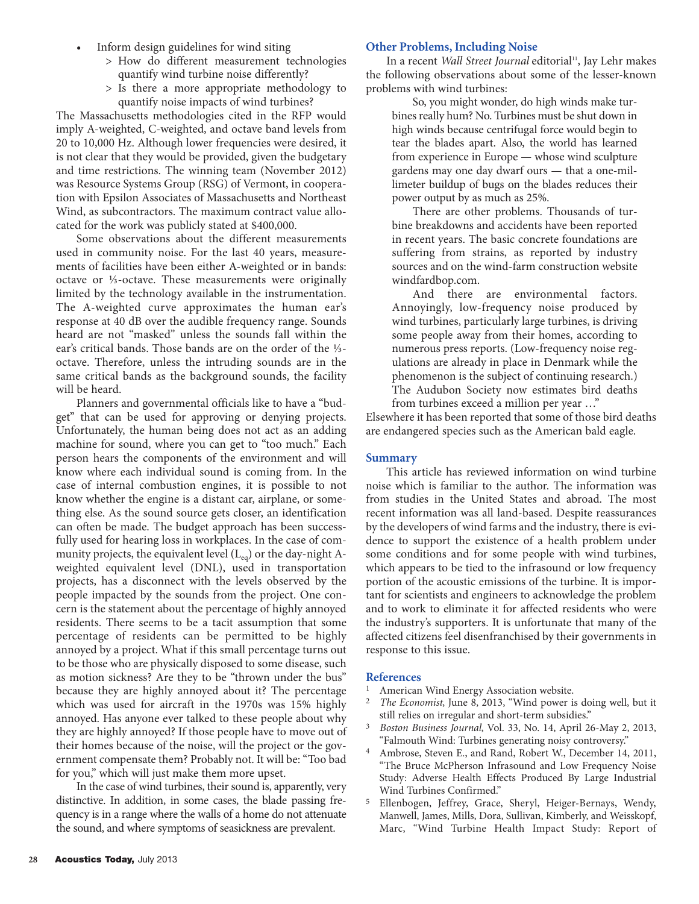- Inform design guidelines for wind siting
	- > How do different measurement technologies quantify wind turbine noise differently?
	- > Is there a more appropriate methodology to quantify noise impacts of wind turbines?

The Massachusetts methodologies cited in the RFP would imply A-weighted, C-weighted, and octave band levels from 20 to 10,000 Hz. Although lower frequencies were desired, it is not clear that they would be provided, given the budgetary and time restrictions. The winning team (November 2012) was Resource Systems Group (RSG) of Vermont, in cooperation with Epsilon Associates of Massachusetts and Northeast Wind, as subcontractors. The maximum contract value allocated for the work was publicly stated at \$400,000.

Some observations about the different measurements used in community noise. For the last 40 years, measurements of facilities have been either A-weighted or in bands: octave or ⅓-octave. These measurements were originally limited by the technology available in the instrumentation. The A-weighted curve approximates the human ear's response at 40 dB over the audible frequency range. Sounds heard are not "masked" unless the sounds fall within the ear's critical bands. Those bands are on the order of the ⅓ octave. Therefore, unless the intruding sounds are in the same critical bands as the background sounds, the facility will be heard.

Planners and governmental officials like to have a "budget" that can be used for approving or denying projects. Unfortunately, the human being does not act as an adding machine for sound, where you can get to "too much." Each person hears the components of the environment and will know where each individual sound is coming from. In the case of internal combustion engines, it is possible to not know whether the engine is a distant car, airplane, or something else. As the sound source gets closer, an identification can often be made. The budget approach has been successfully used for hearing loss in workplaces. In the case of community projects, the equivalent level  $(L_{eq})$  or the day-night Aweighted equivalent level (DNL), used in transportation projects, has a disconnect with the levels observed by the people impacted by the sounds from the project. One concern is the statement about the percentage of highly annoyed residents. There seems to be a tacit assumption that some percentage of residents can be permitted to be highly annoyed by a project. What if this small percentage turns out to be those who are physically disposed to some disease, such as motion sickness? Are they to be "thrown under the bus" because they are highly annoyed about it? The percentage which was used for aircraft in the 1970s was 15% highly annoyed. Has anyone ever talked to these people about why they are highly annoyed? If those people have to move out of their homes because of the noise, will the project or the government compensate them? Probably not. It will be: "Too bad for you," which will just make them more upset.

In the case of wind turbines, their sound is, apparently, very distinctive. In addition, in some cases, the blade passing frequency is in a range where the walls of a home do not attenuate the sound, and where symptoms of seasickness are prevalent.

## **Other Problems, Including Noise**

In a recent *Wall Street Journal* editorial<sup>11</sup>, Jay Lehr makes the following observations about some of the lesser-known problems with wind turbines:

So, you might wonder, do high winds make turbines really hum? No. Turbines must be shut down in high winds because centrifugal force would begin to tear the blades apart. Also, the world has learned from experience in Europe — whose wind sculpture gardens may one day dwarf ours — that a one-millimeter buildup of bugs on the blades reduces their power output by as much as 25%.

There are other problems. Thousands of turbine breakdowns and accidents have been reported in recent years. The basic concrete foundations are suffering from strains, as reported by industry sources and on the wind-farm construction website windfardbop.com.

And there are environmental factors. Annoyingly, low-frequency noise produced by wind turbines, particularly large turbines, is driving some people away from their homes, according to numerous press reports. (Low-frequency noise regulations are already in place in Denmark while the phenomenon is the subject of continuing research.) The Audubon Society now estimates bird deaths from turbines exceed a million per year …"

Elsewhere it has been reported that some of those bird deaths are endangered species such as the American bald eagle.

#### **Summary**

This article has reviewed information on wind turbine noise which is familiar to the author. The information was from studies in the United States and abroad. The most recent information was all land-based. Despite reassurances by the developers of wind farms and the industry, there is evidence to support the existence of a health problem under some conditions and for some people with wind turbines, which appears to be tied to the infrasound or low frequency portion of the acoustic emissions of the turbine. It is important for scientists and engineers to acknowledge the problem and to work to eliminate it for affected residents who were the industry's supporters. It is unfortunate that many of the affected citizens feel disenfranchised by their governments in response to this issue.

#### **References**

- 1 American Wind Energy Association website.
- 2 *The Economist*, June 8, 2013, "Wind power is doing well, but it still relies on irregular and short-term subsidies."
- 3 *Boston Business Journal*, Vol. 33, No. 14, April 26-May 2, 2013, "Falmouth Wind: Turbines generating noisy controversy."
- 4 Ambrose, Steven E., and Rand, Robert W., December 14, 2011, "The Bruce McPherson Infrasound and Low Frequency Noise Study: Adverse Health Effects Produced By Large Industrial Wind Turbines Confirmed."
- 5 Ellenbogen, Jeffrey, Grace, Sheryl, Heiger-Bernays, Wendy, Manwell, James, Mills, Dora, Sullivan, Kimberly, and Weisskopf, Marc, "Wind Turbine Health Impact Study: Report of